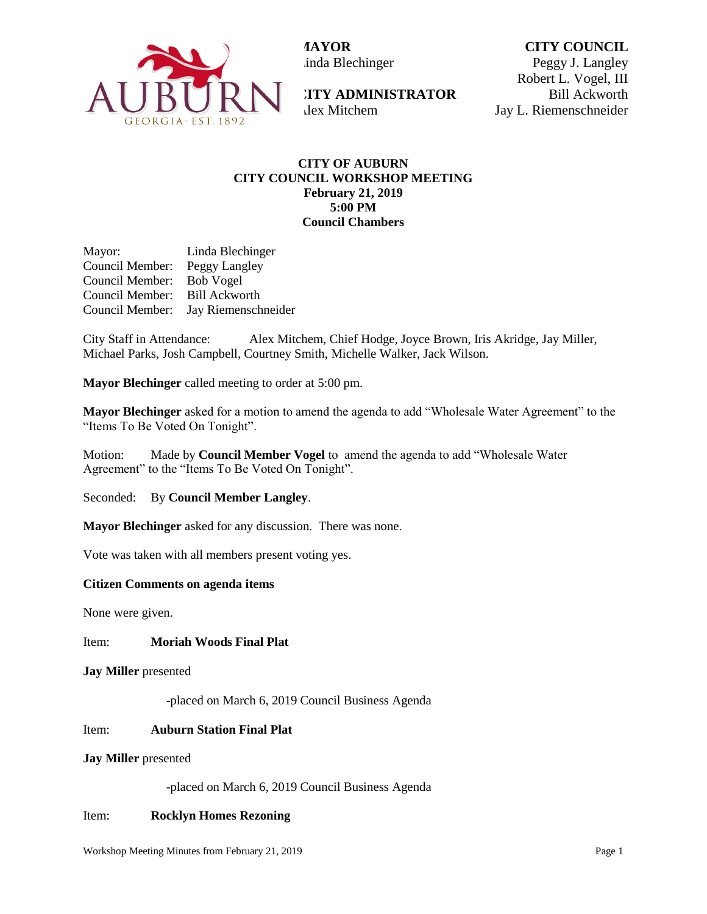

**MAYOR** inda Blechinger **CITY COUNCIL** Peggy J. Langley

**CITY ADMINISTRATOR**  Alex Mitchem

Robert L. Vogel, III Bill Ackworth Jay L. Riemenschneider

# **CITY OF AUBURN CITY COUNCIL WORKSHOP MEETING February 21, 2019 5:00 PM Council Chambers**

Mayor: Linda Blechinger Council Member: Peggy Langley Council Member: Bob Vogel Council Member: Bill Ackworth Council Member: Jay Riemenschneider

City Staff in Attendance: Alex Mitchem, Chief Hodge, Joyce Brown, Iris Akridge, Jay Miller, Michael Parks, Josh Campbell, Courtney Smith, Michelle Walker, Jack Wilson.

**Mayor Blechinger** called meeting to order at 5:00 pm.

**Mayor Blechinger** asked for a motion to amend the agenda to add "Wholesale Water Agreement" to the "Items To Be Voted On Tonight".

Motion: Made by **Council Member Vogel** to amend the agenda to add "Wholesale Water Agreement" to the "Items To Be Voted On Tonight".

Seconded: By **Council Member Langley**.

**Mayor Blechinger** asked for any discussion. There was none.

Vote was taken with all members present voting yes.

# **Citizen Comments on agenda items**

None were given.

Item: **Moriah Woods Final Plat** 

**Jay Miller** presented

-placed on March 6, 2019 Council Business Agenda

# Item: **Auburn Station Final Plat**

#### **Jay Miller** presented

-placed on March 6, 2019 Council Business Agenda

# Item: **Rocklyn Homes Rezoning**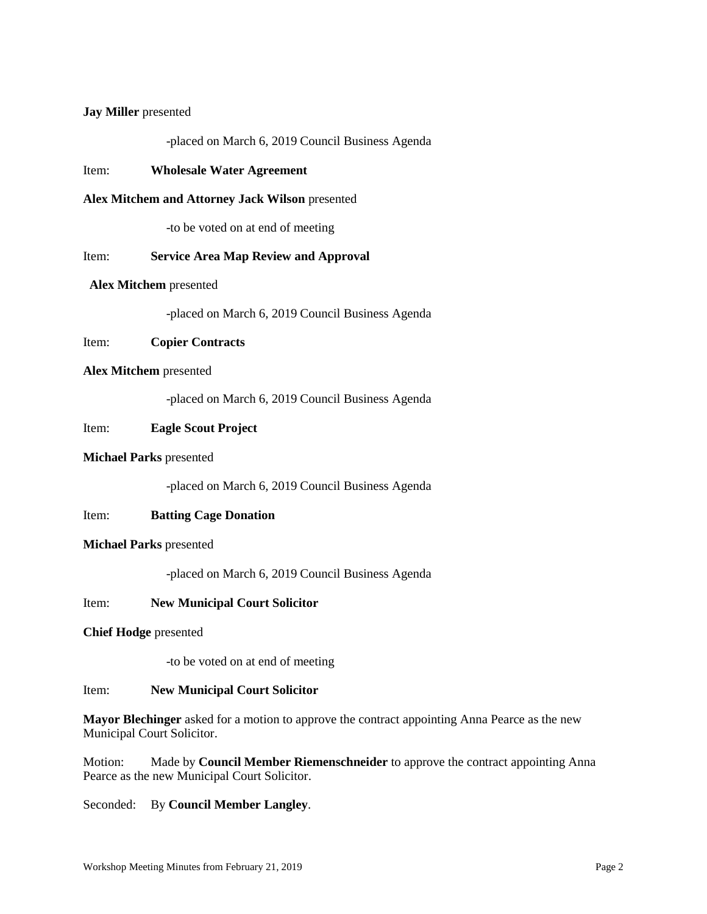## **Jay Miller** presented

-placed on March 6, 2019 Council Business Agenda

## Item: **Wholesale Water Agreement**

## **Alex Mitchem and Attorney Jack Wilson** presented

-to be voted on at end of meeting

## Item: **Service Area Map Review and Approval**

## **Alex Mitchem** presented

-placed on March 6, 2019 Council Business Agenda

# Item: **Copier Contracts**

#### **Alex Mitchem** presented

-placed on March 6, 2019 Council Business Agenda

## Item: **Eagle Scout Project**

## **Michael Parks** presented

-placed on March 6, 2019 Council Business Agenda

# Item: **Batting Cage Donation**

#### **Michael Parks** presented

-placed on March 6, 2019 Council Business Agenda

## Item: **New Municipal Court Solicitor**

#### **Chief Hodge** presented

-to be voted on at end of meeting

#### Item: **New Municipal Court Solicitor**

**Mayor Blechinger** asked for a motion to approve the contract appointing Anna Pearce as the new Municipal Court Solicitor.

Motion: Made by **Council Member Riemenschneider** to approve the contract appointing Anna Pearce as the new Municipal Court Solicitor.

Seconded: By **Council Member Langley**.